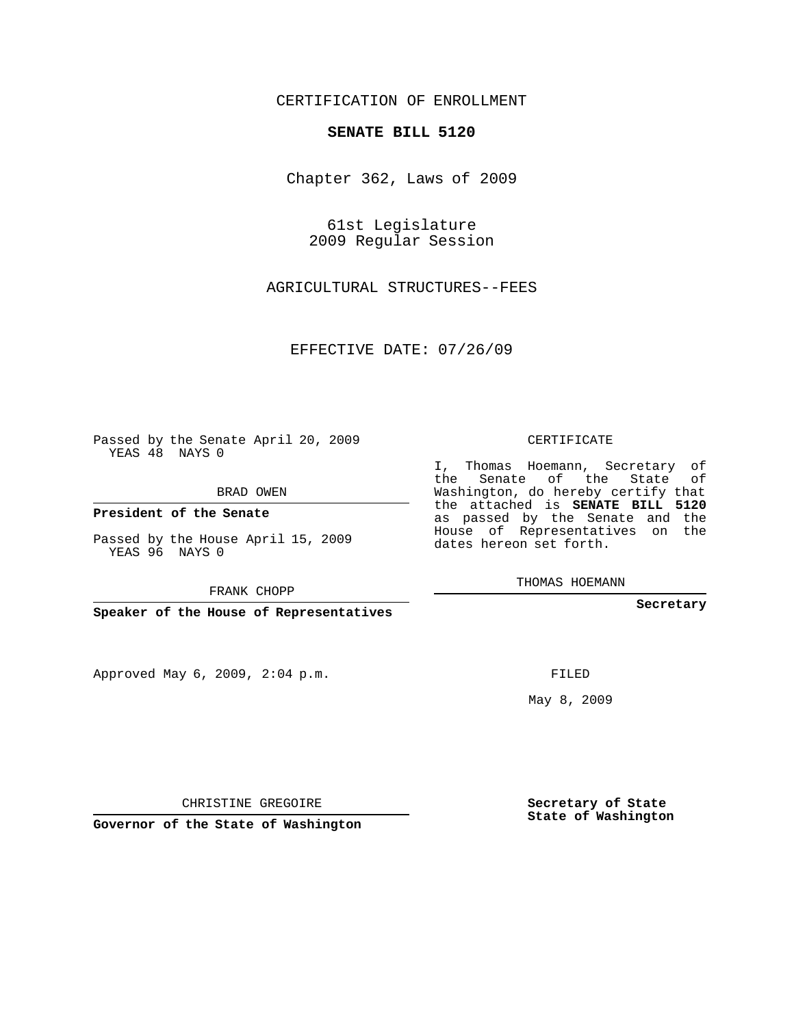## CERTIFICATION OF ENROLLMENT

#### **SENATE BILL 5120**

Chapter 362, Laws of 2009

61st Legislature 2009 Regular Session

AGRICULTURAL STRUCTURES--FEES

EFFECTIVE DATE: 07/26/09

Passed by the Senate April 20, 2009 YEAS 48 NAYS 0

BRAD OWEN

**President of the Senate**

Passed by the House April 15, 2009 YEAS 96 NAYS 0

FRANK CHOPP

**Speaker of the House of Representatives**

Approved May 6, 2009, 2:04 p.m.

CERTIFICATE

I, Thomas Hoemann, Secretary of the Senate of the State of Washington, do hereby certify that the attached is **SENATE BILL 5120** as passed by the Senate and the House of Representatives on the dates hereon set forth.

THOMAS HOEMANN

**Secretary**

FILED

May 8, 2009

**Secretary of State State of Washington**

CHRISTINE GREGOIRE

**Governor of the State of Washington**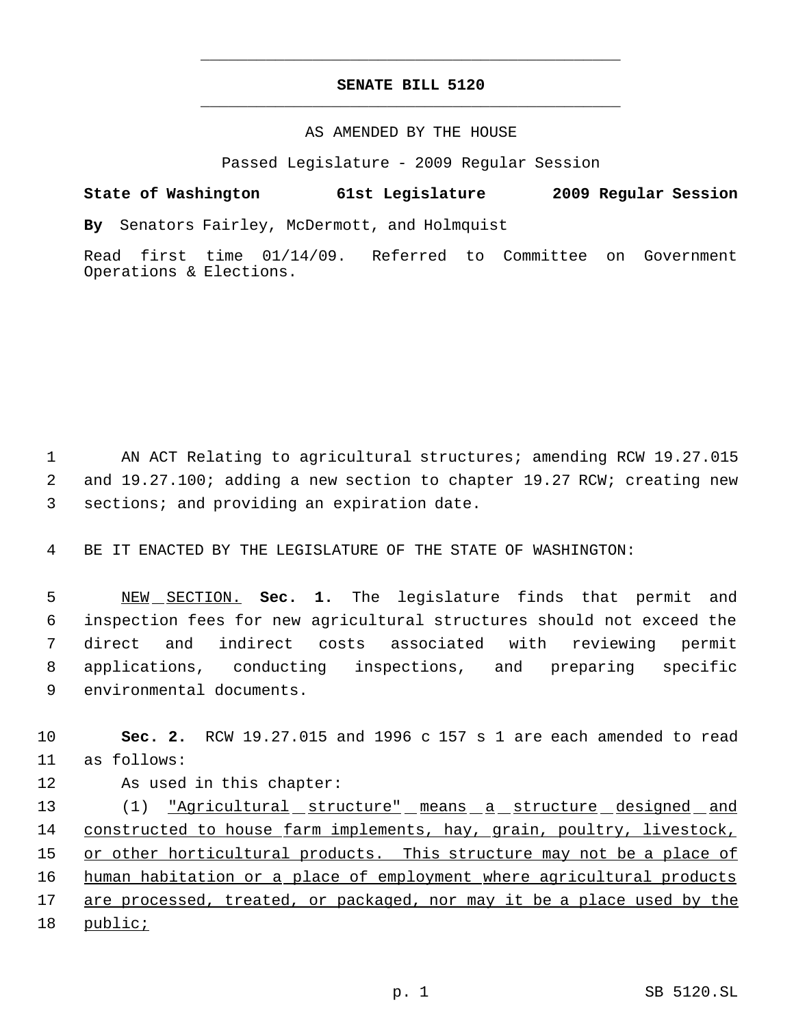## **SENATE BILL 5120** \_\_\_\_\_\_\_\_\_\_\_\_\_\_\_\_\_\_\_\_\_\_\_\_\_\_\_\_\_\_\_\_\_\_\_\_\_\_\_\_\_\_\_\_\_

\_\_\_\_\_\_\_\_\_\_\_\_\_\_\_\_\_\_\_\_\_\_\_\_\_\_\_\_\_\_\_\_\_\_\_\_\_\_\_\_\_\_\_\_\_

### AS AMENDED BY THE HOUSE

Passed Legislature - 2009 Regular Session

# **State of Washington 61st Legislature 2009 Regular Session**

**By** Senators Fairley, McDermott, and Holmquist

Read first time 01/14/09. Referred to Committee on Government Operations & Elections.

 1 AN ACT Relating to agricultural structures; amending RCW 19.27.015 2 and 19.27.100; adding a new section to chapter 19.27 RCW; creating new 3 sections; and providing an expiration date.

4 BE IT ENACTED BY THE LEGISLATURE OF THE STATE OF WASHINGTON:

 NEW SECTION. **Sec. 1.** The legislature finds that permit and inspection fees for new agricultural structures should not exceed the direct and indirect costs associated with reviewing permit applications, conducting inspections, and preparing specific environmental documents.

10 **Sec. 2.** RCW 19.27.015 and 1996 c 157 s 1 are each amended to read 11 as follows:

12 As used in this chapter:

13 (1) <u>"Agricultural structure" means a structure designed and</u> 14 constructed to house farm implements, hay, grain, poultry, livestock, 15 or other horticultural products. This structure may not be a place of 16 human habitation or a place of employment where agricultural products 17 are processed, treated, or packaged, nor may it be a place used by the 18 public;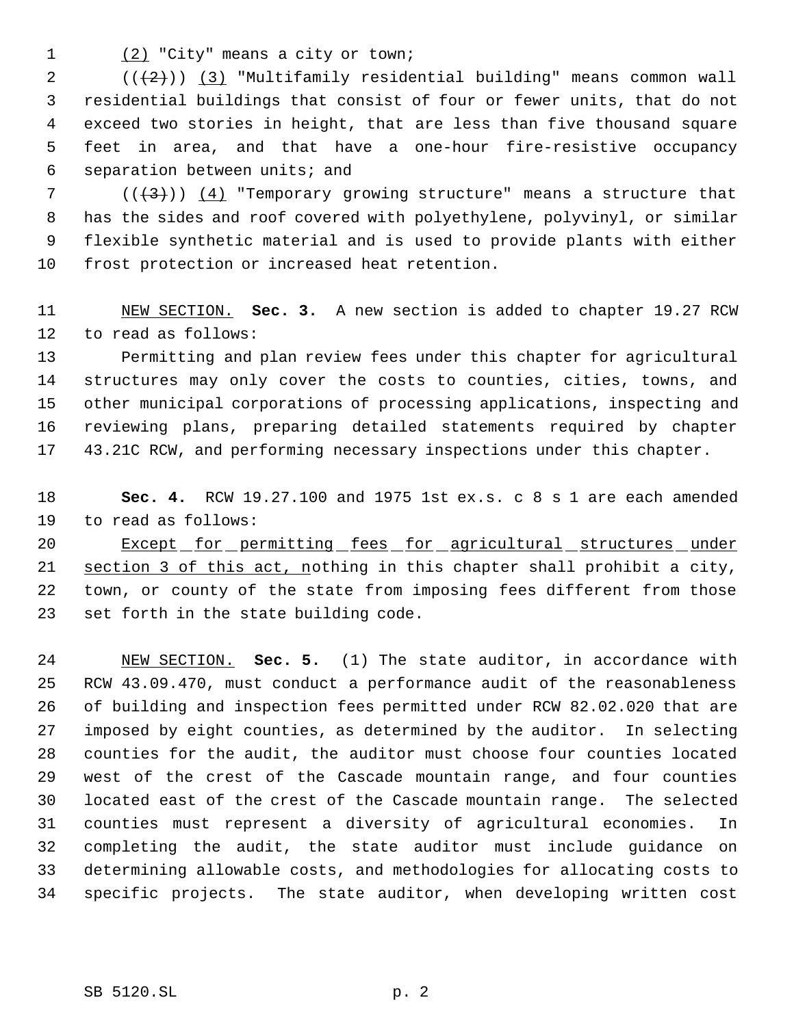1 (2) "City" means a city or town;

 $((+2))$   $(3)$  "Multifamily residential building" means common wall residential buildings that consist of four or fewer units, that do not exceed two stories in height, that are less than five thousand square feet in area, and that have a one-hour fire-resistive occupancy separation between units; and

7 ( $(\frac{4}{3})$ ) (4) "Temporary growing structure" means a structure that has the sides and roof covered with polyethylene, polyvinyl, or similar flexible synthetic material and is used to provide plants with either frost protection or increased heat retention.

 NEW SECTION. **Sec. 3.** A new section is added to chapter 19.27 RCW to read as follows:

 Permitting and plan review fees under this chapter for agricultural structures may only cover the costs to counties, cities, towns, and other municipal corporations of processing applications, inspecting and reviewing plans, preparing detailed statements required by chapter 43.21C RCW, and performing necessary inspections under this chapter.

 **Sec. 4.** RCW 19.27.100 and 1975 1st ex.s. c 8 s 1 are each amended to read as follows:

20 Except for permitting fees for agricultural structures under section 3 of this act, nothing in this chapter shall prohibit a city, town, or county of the state from imposing fees different from those set forth in the state building code.

 NEW SECTION. **Sec. 5.** (1) The state auditor, in accordance with RCW 43.09.470, must conduct a performance audit of the reasonableness of building and inspection fees permitted under RCW 82.02.020 that are imposed by eight counties, as determined by the auditor. In selecting counties for the audit, the auditor must choose four counties located west of the crest of the Cascade mountain range, and four counties located east of the crest of the Cascade mountain range. The selected counties must represent a diversity of agricultural economies. In completing the audit, the state auditor must include guidance on determining allowable costs, and methodologies for allocating costs to specific projects. The state auditor, when developing written cost